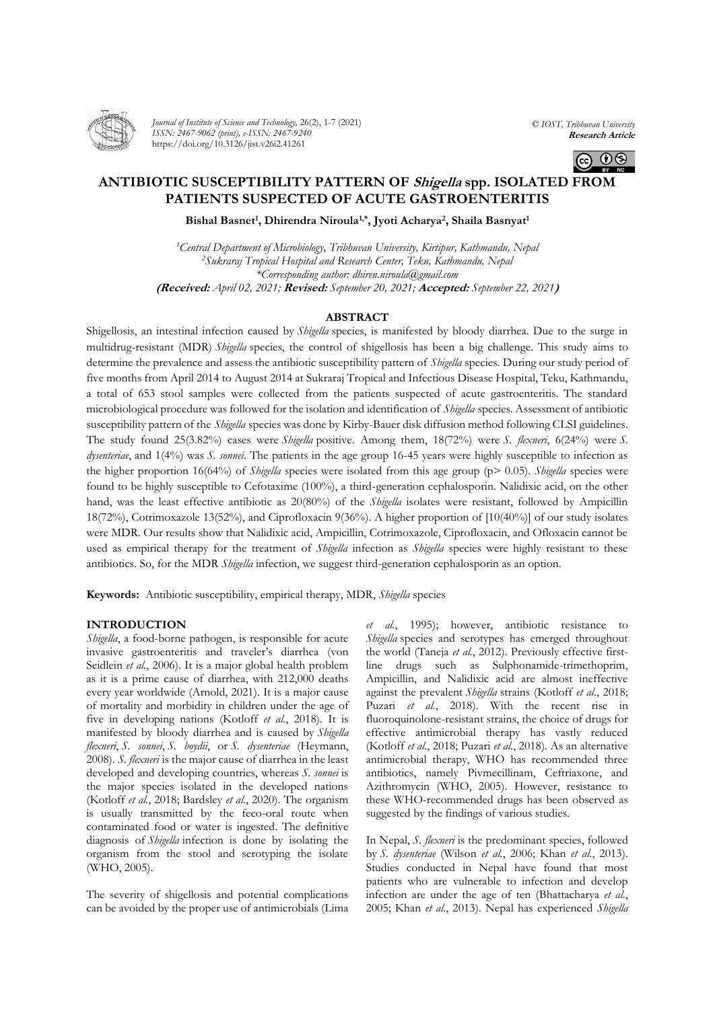

*Journal of Institute of Science and Technology,* 26(2), 1-7 (2021) *ISSN: 2467-9062 (print), e-ISSN: 2467-9240* https://doi.org/10.3126/jist.v26i2.41261

*© IOST, Tribhuvan University* **Research Article**



# **ANTIBIOTIC SUSCEPTIBILITY PATTERN OF Shigella spp. ISOLATED FROM PATIENTS SUSPECTED OF ACUTE GASTROENTERITIS**

## **Bishal Basnet<sup>1</sup> , Dhirendra Niroula1,\* , Jyoti Acharya<sup>2</sup> , Shaila Basnyat<sup>1</sup>**

*<sup>1</sup>Central Department of Microbiology, Tribhuvan University, Kirtipur, Kathmandu, Nepal <sup>2</sup>Sukraraj Tropical Hospital and Research Center, Teku, Kathmandu, Nepal \*Corresponding author: dhiren.niroula@gmail.com* **(Received:** *April 02, 2021;* **Revised:** *September 20, 2021;* **Accepted:** *September 22, 2021***)**

## **ABSTRACT**

Shigellosis, an intestinal infection caused by *Shigella* species, is manifested by bloody diarrhea. Due to the surge in multidrug-resistant (MDR) *Shigella* species, the control of shigellosis has been a big challenge. This study aims to determine the prevalence and assess the antibiotic susceptibility pattern of *Shigella* species. During our study period of five months from April 2014 to August 2014 at Sukraraj Tropical and Infectious Disease Hospital, Teku, Kathmandu, a total of 653 stool samples were collected from the patients suspected of acute gastroenteritis. The standard microbiological procedure was followed for the isolation and identification of *Shigella* species. Assessment of antibiotic susceptibility pattern of the *Shigella* species was done by Kirby-Bauer disk diffusion method following CLSI guidelines. The study found 25(3.82%) cases were *Shigella* positive. Among them, 18(72%) were *S. flexneri*, 6(24%) were *S. dysenteriae*, and 1(4%) was *S. sonnei*. The patients in the age group 16-45 years were highly susceptible to infection as the higher proportion 16(64%) of *Shigella* species were isolated from this age group (p> 0.05). *Shigella* species were found to be highly susceptible to Cefotaxime (100%), a third-generation cephalosporin. Nalidixic acid, on the other hand, was the least effective antibiotic as 20(80%) of the *Shigella* isolates were resistant, followed by Ampicillin 18(72%), Cotrimoxazole 13(52%), and Ciprofloxacin 9(36%). A higher proportion of [10(40%)] of our study isolates were MDR. Our results show that Nalidixic acid, Ampicillin, Cotrimoxazole, Ciprofloxacin, and Ofloxacin cannot be used as empirical therapy for the treatment of *Shigella* infection as *Shigella* species were highly resistant to these antibiotics. So, for the MDR *Shigella* infection, we suggest third-generation cephalosporin as an option.

**Keywords:** Antibiotic susceptibility, empirical therapy, MDR, *Shigella* species

## **INTRODUCTION**

*Shigella*, a food-borne pathogen, is responsible for acute invasive gastroenteritis and traveler's diarrhea (von Seidlein *et al.*, 2006). It is a major global health problem as it is a prime cause of diarrhea, with 212,000 deaths every year worldwide (Arnold, 2021). It is a major cause of mortality and morbidity in children under the age of five in developing nations (Kotloff *et al.*, 2018). It is manifested by bloody diarrhea and is caused by *Shigella flexneri*, *S. sonnei*, *S. boydii*, or *S. dysenteriae* (Heymann, 2008). *S. flexneri* is the major cause of diarrhea in the least developed and developing countries, whereas *S. sonnei* is the major species isolated in the developed nations (Kotloff *et al.*, 2018; Bardsley *et al.*, 2020). The organism is usually transmitted by the feco-oral route when contaminated food or water is ingested. The definitive diagnosis of *Shigella* infection is done by isolating the organism from the stool and serotyping the isolate (WHO, 2005).

The severity of shigellosis and potential complications can be avoided by the proper use of antimicrobials (Lima

*et al.*, 1995); however, antibiotic resistance to *Shigella* species and serotypes has emerged throughout the world (Taneja *et al.*, 2012). Previously effective firstline drugs such as Sulphonamide-trimethoprim, Ampicillin, and Nalidixic acid are almost ineffective against the prevalent *Shigella* strains (Kotloff *et al.*, 2018; Puzari *et al.*, 2018). With the recent rise in fluoroquinolone-resistant strains, the choice of drugs for effective antimicrobial therapy has vastly reduced (Kotloff *et al.*, 2018; Puzari *et al.*, 2018). As an alternative antimicrobial therapy, WHO has recommended three antibiotics, namely Pivmecillinam, Ceftriaxone, and Azithromycin (WHO, 2005). However, resistance to these WHO-recommended drugs has been observed as suggested by the findings of various studies.

In Nepal, *S. flexneri* is the predominant species, followed by *S. dysenteriae* (Wilson *et al.*, 2006; Khan *et al.*, 2013). Studies conducted in Nepal have found that most patients who are vulnerable to infection and develop infection are under the age of ten (Bhattacharya *et al.*, 2005; Khan *et al.*, 2013). Nepal has experienced *Shigella*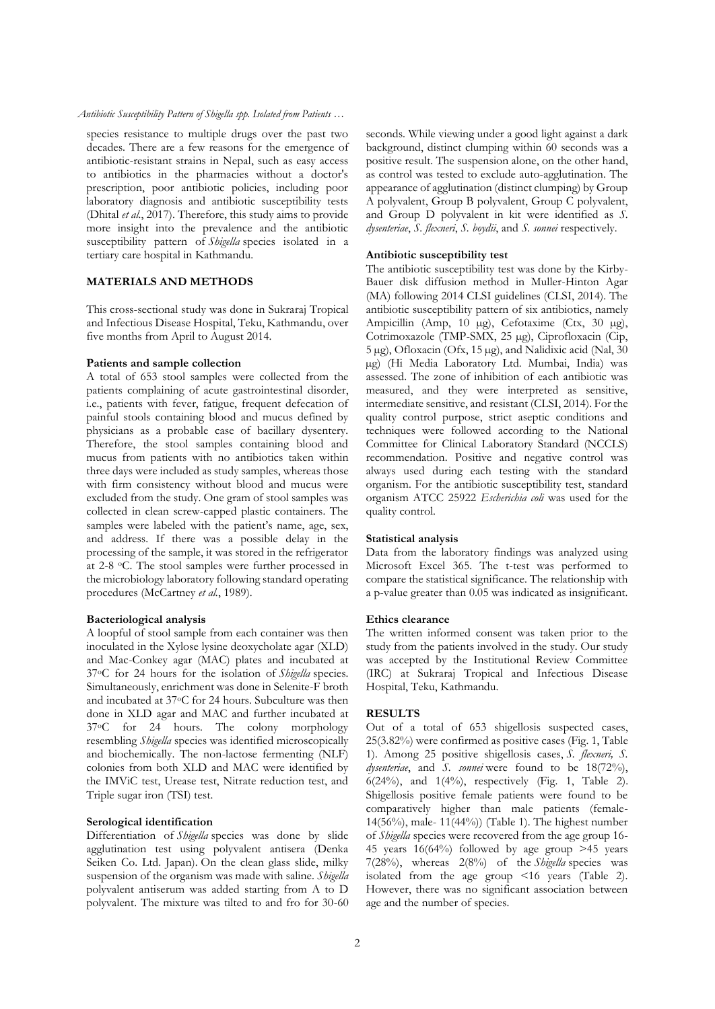*Antibiotic Susceptibility Pattern of Shigella spp. Isolated from Patients …*

species resistance to multiple drugs over the past two decades. There are a few reasons for the emergence of antibiotic-resistant strains in Nepal, such as easy access to antibiotics in the pharmacies without a doctor's prescription, poor antibiotic policies, including poor laboratory diagnosis and antibiotic susceptibility tests (Dhital *et al.*, 2017). Therefore, this study aims to provide more insight into the prevalence and the antibiotic susceptibility pattern of *Shigella* species isolated in a tertiary care hospital in Kathmandu.

## **MATERIALS AND METHODS**

This cross-sectional study was done in Sukraraj Tropical and Infectious Disease Hospital, Teku, Kathmandu, over five months from April to August 2014.

#### **Patients and sample collection**

A total of 653 stool samples were collected from the patients complaining of acute gastrointestinal disorder, i.e., patients with fever, fatigue, frequent defecation of painful stools containing blood and mucus defined by physicians as a probable case of bacillary dysentery. Therefore, the stool samples containing blood and mucus from patients with no antibiotics taken within three days were included as study samples, whereas those with firm consistency without blood and mucus were excluded from the study. One gram of stool samples was collected in clean screw-capped plastic containers. The samples were labeled with the patient's name, age, sex, and address. If there was a possible delay in the processing of the sample, it was stored in the refrigerator at 2-8 oC. The stool samples were further processed in the microbiology laboratory following standard operating procedures (McCartney *et al.*, 1989).

## **Bacteriological analysis**

A loopful of stool sample from each container was then inoculated in the Xylose lysine deoxycholate agar (XLD) and Mac-Conkey agar (MAC) plates and incubated at 37oC for 24 hours for the isolation of *Shigella* species. Simultaneously, enrichment was done in Selenite-F broth and incubated at 37oC for 24 hours. Subculture was then done in XLD agar and MAC and further incubated at 37oC for 24 hours. The colony morphology resembling *Shigella* species was identified microscopically and biochemically. The non-lactose fermenting (NLF) colonies from both XLD and MAC were identified by the IMViC test, Urease test, Nitrate reduction test, and Triple sugar iron (TSI) test.

## **Serological identification**

Differentiation of *Shigella* species was done by slide agglutination test using polyvalent antisera (Denka Seiken Co. Ltd. Japan). On the clean glass slide, milky suspension of the organism was made with saline. *Shigella*  polyvalent antiserum was added starting from A to D polyvalent. The mixture was tilted to and fro for 30-60

seconds. While viewing under a good light against a dark background, distinct clumping within 60 seconds was a positive result. The suspension alone, on the other hand, as control was tested to exclude auto-agglutination. The appearance of agglutination (distinct clumping) by Group A polyvalent, Group B polyvalent, Group C polyvalent, and Group D polyvalent in kit were identified as *S. dysenteriae*, *S. flexneri*, *S. boydii*, and *S. sonnei* respectively.

## **Antibiotic susceptibility test**

The antibiotic susceptibility test was done by the Kirby-Bauer disk diffusion method in Muller-Hinton Agar (MA) following 2014 CLSI guidelines (CLSI, 2014). The antibiotic susceptibility pattern of six antibiotics, namely Ampicillin (Amp, 10 µg), Cefotaxime (Ctx, 30 µg), Cotrimoxazole (TMP-SMX, 25 µg), Ciprofloxacin (Cip, 5 µg), Ofloxacin (Ofx, 15 µg), and Nalidixic acid (Nal, 30 µg) (Hi Media Laboratory Ltd. Mumbai, India) was assessed. The zone of inhibition of each antibiotic was measured, and they were interpreted as sensitive, intermediate sensitive, and resistant (CLSI, 2014). For the quality control purpose, strict aseptic conditions and techniques were followed according to the National Committee for Clinical Laboratory Standard (NCCLS) recommendation. Positive and negative control was always used during each testing with the standard organism. For the antibiotic susceptibility test, standard organism ATCC 25922 *Escherichia coli* was used for the quality control.

#### **Statistical analysis**

Data from the laboratory findings was analyzed using Microsoft Excel 365. The t-test was performed to compare the statistical significance. The relationship with a p-value greater than 0.05 was indicated as insignificant.

#### **Ethics clearance**

The written informed consent was taken prior to the study from the patients involved in the study. Our study was accepted by the Institutional Review Committee (IRC) at Sukraraj Tropical and Infectious Disease Hospital, Teku, Kathmandu.

## **RESULTS**

Out of a total of 653 shigellosis suspected cases, 25(3.82%) were confirmed as positive cases (Fig. 1, Table 1). Among 25 positive shigellosis cases, *S. flexneri, S. dysenteriae*, and *S. sonnei* were found to be 18(72%),  $6(24%)$ , and  $1(4%)$ , respectively (Fig. 1, Table 2). Shigellosis positive female patients were found to be comparatively higher than male patients (female-14(56%), male- 11(44%)) (Table 1). The highest number of *Shigella* species were recovered from the age group 16- 45 years 16(64%) followed by age group  $>45$  years 7(28%), whereas 2(8%) of the *Shigella* species was isolated from the age group <16 years (Table 2). However, there was no significant association between age and the number of species.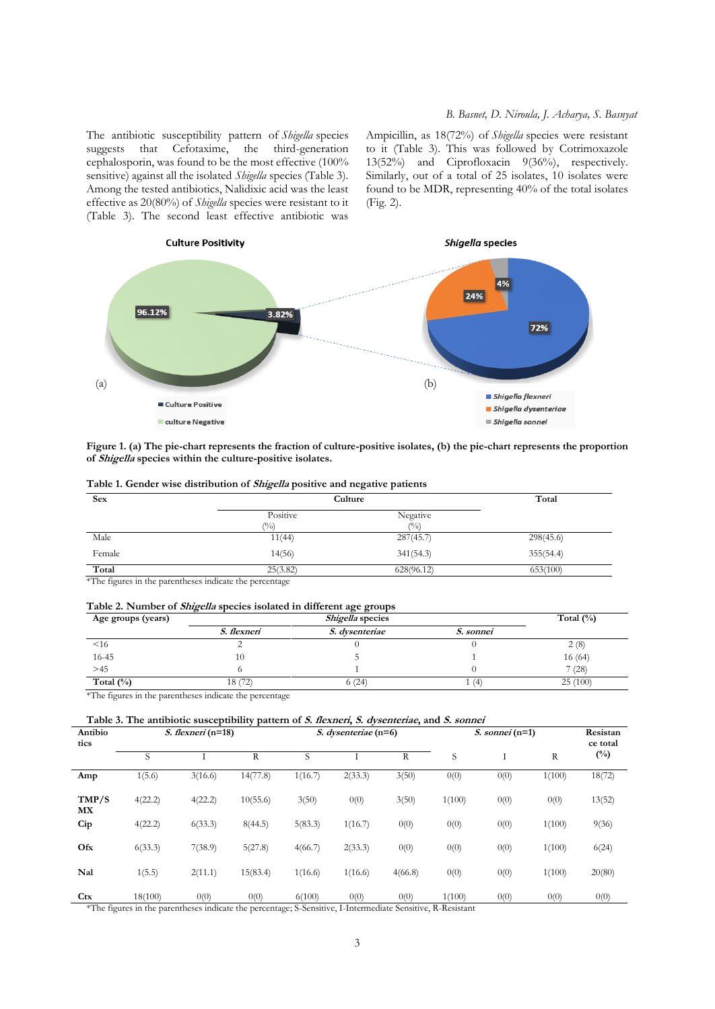The antibiotic susceptibility pattern of *Shigella* species suggests that Cefotaxime, the third-generation cephalosporin, was found to be the most effective (100% sensitive) against all the isolated *Shigella* species (Table 3). Among the tested antibiotics, Nalidixic acid was the least effective as 20(80%) of *Shigella* species were resistant to it (Table 3). The second least effective antibiotic was Ampicillin, as 18(72%) of *Shigella* species were resistant to it (Table 3). This was followed by Cotrimoxazole 13(52%) and Ciprofloxacin 9(36%), respectively. Similarly, out of a total of 25 isolates, 10 isolates were found to be MDR, representing 40% of the total isolates (Fig. 2).



**Figure 1. (a) The pie-chart represents the fraction of culture-positive isolates, (b) the pie-chart represents the proportion of Shigella species within the culture-positive isolates.** 

| <b>Sex</b> | Culture                    | Total              |           |
|------------|----------------------------|--------------------|-----------|
|            | Positive<br>$\binom{0}{0}$ | Negative<br>$($ %) |           |
| Male       | 11(44)                     | 287(45.7)          | 298(45.6) |
| Female     | 14(56)                     | 341(54.3)          | 355(54.4) |
| Total      | 25(3.82)                   | 628(96.12)         | 653(100)  |

\*The figures in the parentheses indicate the percentage

#### **Table 2. Number of Shigella species isolated in different age groups**

| Age groups (years) |             | Total $(\%)$          |                  |         |
|--------------------|-------------|-----------------------|------------------|---------|
|                    | S. flexneri | <i>S.</i> dysenteriae | <i>S. sonnei</i> |         |
| $<$ 16             |             |                       |                  | 2(8)    |
| 16-45              |             |                       |                  | 16 (64) |
| >45                |             |                       |                  | (28)    |
| Total $(\% )$      | 18 (72)     | 6(24)                 | (4)              | 25(100) |

\*The figures in the parentheses indicate the percentage

## **Table 3. The antibiotic susceptibility pattern of S. flexneri, S. dysenteriae, and S. sonnei**

| Antibio<br>tics | <i>S. flexneri</i> $(n=18)$ |         | S. dysenteriae (n=6) |         | <i>S. sonnei</i> $(n=1)$ |         |        | Resistan<br>ce total |              |              |
|-----------------|-----------------------------|---------|----------------------|---------|--------------------------|---------|--------|----------------------|--------------|--------------|
|                 | S                           |         | R                    | S       |                          | R       | S      |                      | $\mathbb{R}$ | $(^{0}_{0})$ |
| Amp             | 1(5.6)                      | 3(16.6) | 14(77.8)             | 1(16.7) | 2(33.3)                  | 3(50)   | 0(0)   | 0(0)                 | 1(100)       | 18(72)       |
| TMP/S<br>MX     | 4(22.2)                     | 4(22.2) | 10(55.6)             | 3(50)   | 0(0)                     | 3(50)   | 1(100) | 0(0)                 | 0(0)         | 13(52)       |
| Cip             | 4(22.2)                     | 6(33.3) | 8(44.5)              | 5(83.3) | 1(16.7)                  | 0(0)    | 0(0)   | 0(0)                 | 1(100)       | 9(36)        |
| Ofx             | 6(33.3)                     | 7(38.9) | 5(27.8)              | 4(66.7) | 2(33.3)                  | 0(0)    | 0(0)   | 0(0)                 | 1(100)       | 6(24)        |
| Nal             | 1(5.5)                      | 2(11.1) | 15(83.4)             | 1(16.6) | 1(16.6)                  | 4(66.8) | 0(0)   | 0(0)                 | 1(100)       | 20(80)       |
| Ctx             | 18(100)                     | 0(0)    | 0(0)                 | 6(100)  | 0(0)                     | 0(0)    | 1(100) | 0(0)                 | 0(0)         | 0(0)         |

\*The figures in the parentheses indicate the percentage; S-Sensitive, I-Intermediate Sensitive, R-Resistant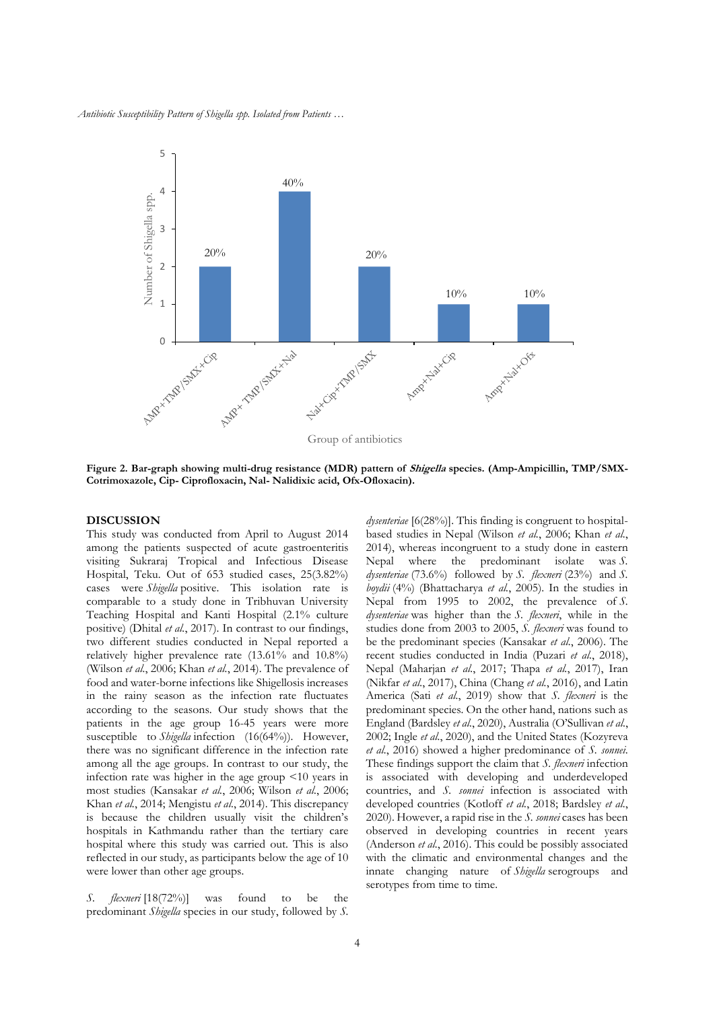*Antibiotic Susceptibility Pattern of Shigella spp. Isolated from Patients …*



**Figure 2. Bar-graph showing multi-drug resistance (MDR) pattern of Shigella species. (Amp-Ampicillin, TMP/SMX-Cotrimoxazole, Cip- Ciprofloxacin, Nal- Nalidixic acid, Ofx-Ofloxacin).** 

#### **DISCUSSION**

This study was conducted from April to August 2014 among the patients suspected of acute gastroenteritis visiting Sukraraj Tropical and Infectious Disease Hospital, Teku. Out of 653 studied cases, 25(3.82%) cases were *Shigella* positive. This isolation rate is comparable to a study done in Tribhuvan University Teaching Hospital and Kanti Hospital (2.1% culture positive) (Dhital *et al.*, 2017). In contrast to our findings, two different studies conducted in Nepal reported a relatively higher prevalence rate (13.61% and 10.8%) (Wilson *et al.*, 2006; Khan *et al.*, 2014). The prevalence of food and water-borne infections like Shigellosis increases in the rainy season as the infection rate fluctuates according to the seasons. Our study shows that the patients in the age group 16-45 years were more susceptible to *Shigella* infection (16(64%)). However, there was no significant difference in the infection rate among all the age groups. In contrast to our study, the infection rate was higher in the age group <10 years in most studies (Kansakar *et al.*, 2006; Wilson *et al.*, 2006; Khan *et al.*, 2014; Mengistu *et al.*, 2014). This discrepancy is because the children usually visit the children's hospitals in Kathmandu rather than the tertiary care hospital where this study was carried out. This is also reflected in our study, as participants below the age of 10 were lower than other age groups.

*S. flexneri* [18(72%)] was found to be the predominant *Shigella* species in our study, followed by *S.*  *dysenteriae* [6(28%)]. This finding is congruent to hospitalbased studies in Nepal (Wilson *et al.*, 2006; Khan *et al.*, 2014), whereas incongruent to a study done in eastern Nepal where the predominant isolate was *S. dysenteriae* (73.6%) followed by *S. flexneri* (23%) and *S. boydii* (4%) (Bhattacharya *et al.*, 2005). In the studies in Nepal from 1995 to 2002, the prevalence of *S. dysenteriae* was higher than the *S. flexneri*, while in the studies done from 2003 to 2005, *S. flexneri* was found to be the predominant species (Kansakar *et al.*, 2006). The recent studies conducted in India (Puzari *et al.*, 2018), Nepal (Maharjan *et al.*, 2017; Thapa *et al.*, 2017), Iran (Nikfar *et al.*, 2017), China (Chang *et al.*, 2016), and Latin America (Sati *et al.*, 2019) show that *S. flexneri* is the predominant species. On the other hand, nations such as England (Bardsley *et al.*, 2020), Australia (O'Sullivan *et al.*, 2002; Ingle *et al.*, 2020), and the United States (Kozyreva *et al.*, 2016) showed a higher predominance of *S. sonnei*. These findings support the claim that *S. flexneri* infection is associated with developing and underdeveloped countries, and *S. sonnei* infection is associated with developed countries (Kotloff *et al.*, 2018; Bardsley *et al.*, 2020). However, a rapid rise in the *S. sonnei* cases has been observed in developing countries in recent years (Anderson *et al.*, 2016). This could be possibly associated with the climatic and environmental changes and the innate changing nature of *Shigella* serogroups and serotypes from time to time.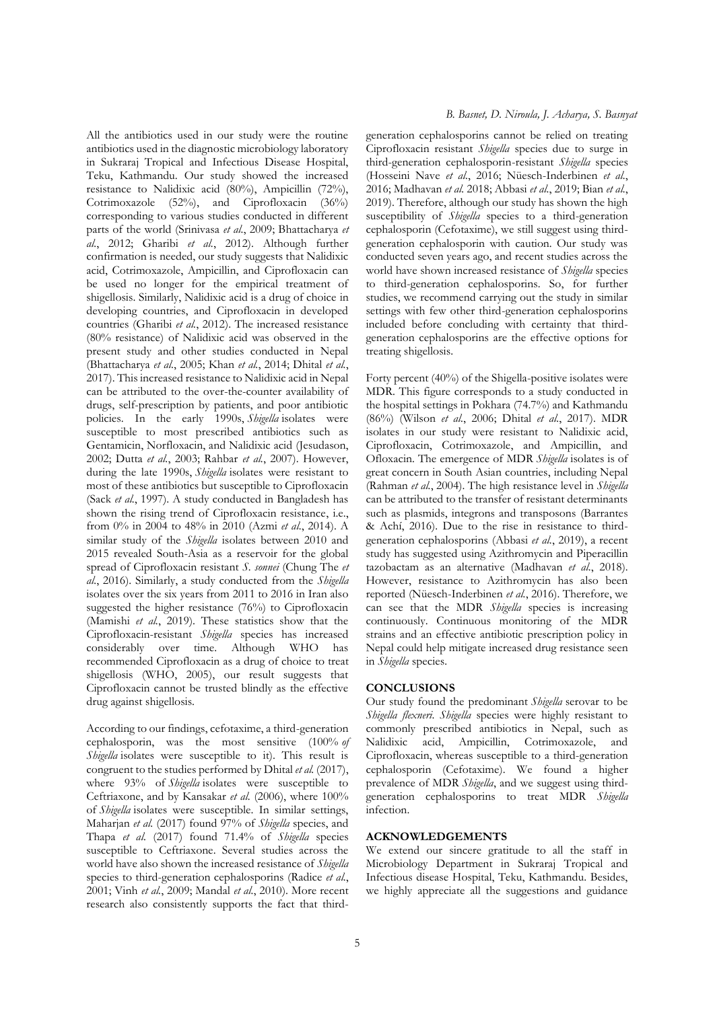All the antibiotics used in our study were the routine antibiotics used in the diagnostic microbiology laboratory in Sukraraj Tropical and Infectious Disease Hospital, Teku, Kathmandu. Our study showed the increased resistance to Nalidixic acid (80%), Ampicillin (72%), Cotrimoxazole (52%), and Ciprofloxacin (36%) corresponding to various studies conducted in different parts of the world (Srinivasa *et al.*, 2009; Bhattacharya *et al.*, 2012; Gharibi *et al.*, 2012). Although further confirmation is needed, our study suggests that Nalidixic acid, Cotrimoxazole, Ampicillin, and Ciprofloxacin can be used no longer for the empirical treatment of shigellosis. Similarly, Nalidixic acid is a drug of choice in developing countries, and Ciprofloxacin in developed countries (Gharibi *et al.*, 2012). The increased resistance (80% resistance) of Nalidixic acid was observed in the present study and other studies conducted in Nepal (Bhattacharya *et al.*, 2005; Khan *et al.*, 2014; Dhital *et al.*, 2017). This increased resistance to Nalidixic acid in Nepal can be attributed to the over-the-counter availability of drugs, self-prescription by patients, and poor antibiotic policies. In the early 1990s, *Shigella* isolates were susceptible to most prescribed antibiotics such as Gentamicin, Norfloxacin, and Nalidixic acid (Jesudason, 2002; Dutta *et al.*, 2003; Rahbar *et al.*, 2007). However, during the late 1990s, *Shigella* isolates were resistant to most of these antibiotics but susceptible to Ciprofloxacin (Sack *et al.*, 1997). A study conducted in Bangladesh has shown the rising trend of Ciprofloxacin resistance, i.e., from 0% in 2004 to 48% in 2010 (Azmi *et al.*, 2014). A similar study of the *Shigella* isolates between 2010 and 2015 revealed South-Asia as a reservoir for the global spread of Ciprofloxacin resistant *S. sonnei* (Chung The *et al.*, 2016). Similarly, a study conducted from the *Shigella* isolates over the six years from 2011 to 2016 in Iran also suggested the higher resistance (76%) to Ciprofloxacin (Mamishi *et al.*, 2019). These statistics show that the Ciprofloxacin-resistant *Shigella* species has increased considerably over time. Although WHO has recommended Ciprofloxacin as a drug of choice to treat shigellosis (WHO, 2005), our result suggests that Ciprofloxacin cannot be trusted blindly as the effective drug against shigellosis.

According to our findings, cefotaxime, a third-generation cephalosporin, was the most sensitive (100% *of Shigella* isolates were susceptible to it). This result is congruent to the studies performed by Dhital *et al.* (2017), where 93% of *Shigella* isolates were susceptible to Ceftriaxone, and by Kansakar *et al.* (2006), where 100% of *Shigella* isolates were susceptible. In similar settings, Maharjan *et al.* (2017) found 97% of *Shigella* species, and Thapa *et al.* (2017) found 71.4% of *Shigella* species susceptible to Ceftriaxone. Several studies across the world have also shown the increased resistance of *Shigella* species to third-generation cephalosporins (Radice *et al.*, 2001; Vinh *et al.*, 2009; Mandal *et al.*, 2010). More recent research also consistently supports the fact that thirdgeneration cephalosporins cannot be relied on treating Ciprofloxacin resistant *Shigella* species due to surge in third-generation cephalosporin-resistant *Shigella* species (Hosseini Nave *et al.*, 2016; Nüesch-Inderbinen *et al.*, 2016; Madhavan *et al.* 2018; Abbasi *et al.*, 2019; Bian *et al.*, 2019). Therefore, although our study has shown the high susceptibility of *Shigella* species to a third-generation cephalosporin (Cefotaxime), we still suggest using thirdgeneration cephalosporin with caution. Our study was conducted seven years ago, and recent studies across the world have shown increased resistance of *Shigella* species to third-generation cephalosporins. So, for further studies, we recommend carrying out the study in similar settings with few other third-generation cephalosporins included before concluding with certainty that thirdgeneration cephalosporins are the effective options for treating shigellosis.

Forty percent (40%) of the Shigella-positive isolates were MDR. This figure corresponds to a study conducted in the hospital settings in Pokhara (74.7%) and Kathmandu (86%) (Wilson *et al.*, 2006; Dhital *et al.*, 2017). MDR isolates in our study were resistant to Nalidixic acid, Ciprofloxacin, Cotrimoxazole, and Ampicillin, and Ofloxacin. The emergence of MDR *Shigella* isolates is of great concern in South Asian countries, including Nepal (Rahman *et al.*, 2004). The high resistance level in *Shigella* can be attributed to the transfer of resistant determinants such as plasmids, integrons and transposons (Barrantes & Achí, 2016). Due to the rise in resistance to thirdgeneration cephalosporins (Abbasi *et al.*, 2019), a recent study has suggested using Azithromycin and Piperacillin tazobactam as an alternative (Madhavan *et al.*, 2018). However, resistance to Azithromycin has also been reported (Nüesch-Inderbinen *et al.*, 2016). Therefore, we can see that the MDR *Shigella* species is increasing continuously. Continuous monitoring of the MDR strains and an effective antibiotic prescription policy in Nepal could help mitigate increased drug resistance seen in *Shigella* species.

#### **CONCLUSIONS**

Our study found the predominant *Shigella* serovar to be *Shigella flexneri*. *Shigella* species were highly resistant to commonly prescribed antibiotics in Nepal, such as Nalidixic acid, Ampicillin, Cotrimoxazole, and Ciprofloxacin, whereas susceptible to a third-generation cephalosporin (Cefotaxime). We found a higher prevalence of MDR *Shigella*, and we suggest using thirdgeneration cephalosporins to treat MDR *Shigella* infection.

#### **ACKNOWLEDGEMENTS**

We extend our sincere gratitude to all the staff in Microbiology Department in Sukraraj Tropical and Infectious disease Hospital, Teku, Kathmandu. Besides, we highly appreciate all the suggestions and guidance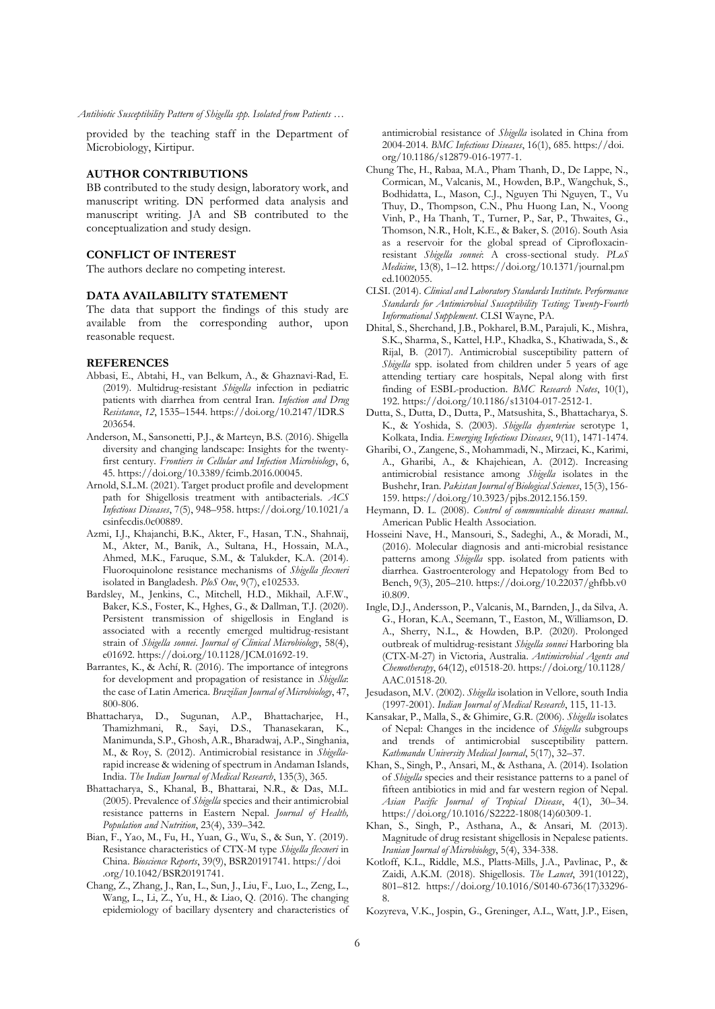*Antibiotic Susceptibility Pattern of Shigella spp. Isolated from Patients …*

provided by the teaching staff in the Department of Microbiology, Kirtipur.

#### **AUTHOR CONTRIBUTIONS**

BB contributed to the study design, laboratory work, and manuscript writing. DN performed data analysis and manuscript writing. JA and SB contributed to the conceptualization and study design.

## **CONFLICT OF INTEREST**

The authors declare no competing interest.

#### **DATA AVAILABILITY STATEMENT**

The data that support the findings of this study are available from the corresponding author, upon reasonable request.

#### **REFERENCES**

- Abbasi, E., Abtahi, H., van Belkum, A., & Ghaznavi-Rad, E. (2019). Multidrug-resistant *Shigella* infection in pediatric patients with diarrhea from central Iran. *Infection and Drug Resistance*, *12*, 1535–1544. https://doi.org/10.2147/IDR.S 203654.
- Anderson, M., Sansonetti, P.J., & Marteyn, B.S. (2016). Shigella diversity and changing landscape: Insights for the twentyfirst century. *Frontiers in Cellular and Infection Microbiology*, 6, 45. https://doi.org/10.3389/fcimb.2016.00045.
- Arnold, S.L.M. (2021). Target product profile and development path for Shigellosis treatment with antibacterials. *ACS Infectious Diseases*, 7(5), 948–958. https://doi.org/10.1021/a csinfecdis.0c00889.
- Azmi, I.J., Khajanchi, B.K., Akter, F., Hasan, T.N., Shahnaij, M., Akter, M., Banik, A., Sultana, H., Hossain, M.A., Ahmed, M.K., Faruque, S.M., & Talukder, K.A. (2014). Fluoroquinolone resistance mechanisms of *Shigella flexneri* isolated in Bangladesh. *PloS One*, 9(7), e102533.
- Bardsley, M., Jenkins, C., Mitchell, H.D., Mikhail, A.F.W., Baker, K.S., Foster, K., Hghes, G., & Dallman, T.J. (2020). Persistent transmission of shigellosis in England is associated with a recently emerged multidrug-resistant strain of *Shigella sonnei*. *Journal of Clinical Microbiology*, 58(4), e01692. https://doi.org/10.1128/JCM.01692-19.
- Barrantes, K., & Achí, R. (2016). The importance of integrons for development and propagation of resistance in *Shigella*: the case of Latin America. *Brazilian Journal of Microbiology*, 47, 800-806.
- Bhattacharya, D., Sugunan, A.P., Bhattacharjee, H., Thamizhmani, R., Sayi, D.S., Thanasekaran, K., Manimunda, S.P., Ghosh, A.R., Bharadwaj, A.P., Singhania, M., & Roy, S. (2012). Antimicrobial resistance in *Shigella*rapid increase & widening of spectrum in Andaman Islands, India. *The Indian Journal of Medical Research*, 135(3), 365.
- Bhattacharya, S., Khanal, B., Bhattarai, N.R., & Das, M.L. (2005). Prevalence of *Shigella* species and their antimicrobial resistance patterns in Eastern Nepal. *Journal of Health, Population and Nutrition*, 23(4), 339–342.
- Bian, F., Yao, M., Fu, H., Yuan, G., Wu, S., & Sun, Y. (2019). Resistance characteristics of CTX-M type *Shigella flexneri* in China. *Bioscience Reports*, 39(9), BSR20191741. https://doi .org/10.1042/BSR20191741.
- Chang, Z., Zhang, J., Ran, L., Sun, J., Liu, F., Luo, L., Zeng, L., Wang, L., Li, Z., Yu, H., & Liao, Q. (2016). The changing epidemiology of bacillary dysentery and characteristics of

antimicrobial resistance of *Shigella* isolated in China from 2004-2014. *BMC Infectious Diseases*, 16(1), 685. https://doi. org/10.1186/s12879-016-1977-1.

- Chung The, H., Rabaa, M.A., Pham Thanh, D., De Lappe, N., Cormican, M., Valcanis, M., Howden, B.P., Wangchuk, S., Bodhidatta, L., Mason, C.J., Nguyen Thi Nguyen, T., Vu Thuy, D., Thompson, C.N., Phu Huong Lan, N., Voong Vinh, P., Ha Thanh, T., Turner, P., Sar, P., Thwaites, G., Thomson, N.R., Holt, K.E., & Baker, S. (2016). South Asia as a reservoir for the global spread of Ciprofloxacinresistant *Shigella sonnei*: A cross-sectional study. *PLoS Medicine*, 13(8), 1–12. https://doi.org/10.1371/journal.pm ed.1002055.
- CLSI. (2014). *Clinical and Laboratory Standards Institute. Performance Standards for Antimicrobial Susceptibility Testing; Twenty‐Fourth Informational Supplement*. CLSI Wayne, PA.
- Dhital, S., Sherchand, J.B., Pokharel, B.M., Parajuli, K., Mishra, S.K., Sharma, S., Kattel, H.P., Khadka, S., Khatiwada, S., & Rijal, B. (2017). Antimicrobial susceptibility pattern of *Shigella* spp. isolated from children under 5 years of age attending tertiary care hospitals, Nepal along with first finding of ESBL-production. *BMC Research Notes*, 10(1), 192. https://doi.org/10.1186/s13104-017-2512-1.
- Dutta, S., Dutta, D., Dutta, P., Matsushita, S., Bhattacharya, S. K., & Yoshida, S. (2003). *Shigella dysenteriae* serotype 1, Kolkata, India. *Emerging Infectious Diseases*, 9(11), 1471-1474.
- Gharibi, O., Zangene, S., Mohammadi, N., Mirzaei, K., Karimi, A., Gharibi, A., & Khajehiean, A. (2012). Increasing antimicrobial resistance among *Shigella* isolates in the Bushehr, Iran. *Pakistan Journal of Biological Sciences*, 15(3), 156- 159. https://doi.org/10.3923/pjbs.2012.156.159.
- Heymann, D. L. (2008). *Control of communicable diseases manual*. American Public Health Association.
- Hosseini Nave, H., Mansouri, S., Sadeghi, A., & Moradi, M., (2016). Molecular diagnosis and anti-microbial resistance patterns among *Shigella* spp. isolated from patients with diarrhea. Gastroenterology and Hepatology from Bed to Bench, 9(3), 205–210. https://doi.org/10.22037/ghfbb.v0 i0.809.
- Ingle, D.J., Andersson, P., Valcanis, M., Barnden, J., da Silva, A. G., Horan, K.A., Seemann, T., Easton, M., Williamson, D. A., Sherry, N.L., & Howden, B.P. (2020). Prolonged outbreak of multidrug-resistant *Shigella sonnei* Harboring bla (CTX-M-27) in Victoria, Australia. *Antimicrobial Agents and Chemotherapy*, 64(12), e01518-20. https://doi.org/10.1128/ AAC.01518-20.
- Jesudason, M.V. (2002). *Shigella* isolation in Vellore, south India (1997-2001). *Indian Journal of Medical Research*, 115, 11-13.
- Kansakar, P., Malla, S., & Ghimire, G.R. (2006). *Shigella* isolates of Nepal: Changes in the incidence of *Shigella* subgroups and trends of antimicrobial susceptibility pattern. *Kathmandu University Medical Journal*, 5(17), 32–37.
- Khan, S., Singh, P., Ansari, M., & Asthana, A. (2014). Isolation of *Shigella* species and their resistance patterns to a panel of fifteen antibiotics in mid and far western region of Nepal. *Asian Pacific Journal of Tropical Disease*, 4(1), 30–34. https://doi.org/10.1016/S2222-1808(14)60309-1.
- Khan, S., Singh, P., Asthana, A., & Ansari, M. (2013). Magnitude of drug resistant shigellosis in Nepalese patients. *Iranian Journal of Microbiology*, 5(4), 334-338.
- Kotloff, K.L., Riddle, M.S., Platts-Mills, J.A., Pavlinac, P., & Zaidi, A.K.M. (2018). Shigellosis. *The Lancet*, 391(10122), 801–812. https://doi.org/10.1016/S0140-6736(17)33296- 8.
- Kozyreva, V.K., Jospin, G., Greninger, A.L., Watt, J.P., Eisen,